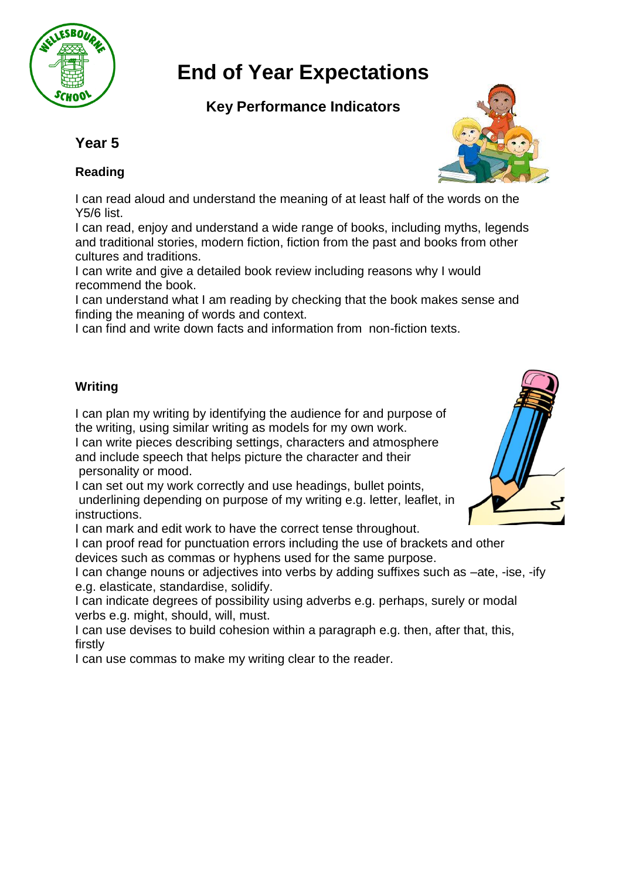

# **End of Year Expectations**

# **Key Performance Indicators**

## **Year 5**

### **Reading**

I can read aloud and understand the meaning of at least half of th[e words on the](http://www.google.co.uk/url?sa=i&rct=j&q=&esrc=s&source=images&cd=&cad=rja&uact=8&ved=&url=http://www.lovelykids.com.tw/products.php?cid=6&psig=AFQjCNFxIxOzYDTOYwivOQGPykTBUUBgYA&ust=1454507497484542)  Y5/6 list.

I can read, enjoy and understand a wide range of books, including myths, legends and traditional stories, modern fiction, fiction from the past and books from other cultures and traditions.

I can write and give a detailed book review including reasons why I would recommend the book.

I can understand what I am reading by checking that the book makes sense and finding the meaning of words and context.

I can find and write down facts and information from non-fiction texts.

#### **Writing**

I can plan my writing by identifying the audience for and purpose of the writing, using similar writing as models for my own work. I can write pieces describing settings, characters and atmosphere

and include speech that helps picture the character and their personality or mood.

I can set out my work correctly and use headings, bullet points, underlining depending on purpose of my writing e.g. letter, leaflet, in instructions.

I can mark and edit work to have the correct tense throughout.

I can proof read for punctuation errors including the use of brackets and other devices such as commas or hyphens used for the same purpose.

I can change nouns or adjectives into verbs by adding suffixes such as –ate, -ise, -ify e.g. elasticate, standardise, solidify.

I can indicate degrees of possibility using adverbs e.g. perhaps, surely or modal verbs e.g. might, should, will, must.

I can use devises to build cohesion within a paragraph e.g. then, after that, this, firstly

I can use commas to make my writing clear to the reader.